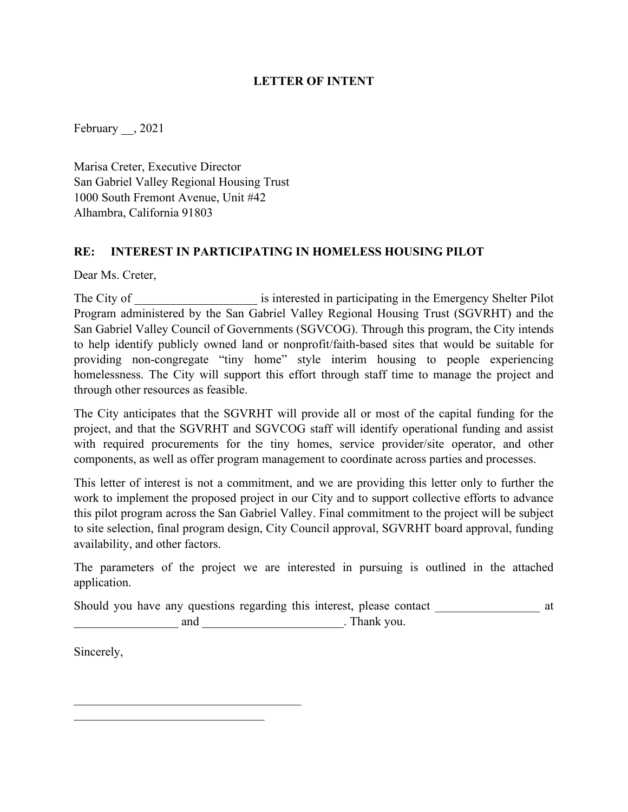## **LETTER OF INTENT**

February , 2021

Marisa Creter, Executive Director San Gabriel Valley Regional Housing Trust 1000 South Fremont Avenue, Unit #42 Alhambra, California 91803

#### **RE: INTEREST IN PARTICIPATING IN HOMELESS HOUSING PILOT**

Dear Ms. Creter,

The City of The City of  $\cdot$  is interested in participating in the Emergency Shelter Pilot Program administered by the San Gabriel Valley Regional Housing Trust (SGVRHT) and the San Gabriel Valley Council of Governments (SGVCOG). Through this program, the City intends to help identify publicly owned land or nonprofit/faith-based sites that would be suitable for providing non-congregate "tiny home" style interim housing to people experiencing homelessness. The City will support this effort through staff time to manage the project and through other resources as feasible.

The City anticipates that the SGVRHT will provide all or most of the capital funding for the project, and that the SGVRHT and SGVCOG staff will identify operational funding and assist with required procurements for the tiny homes, service provider/site operator, and other components, as well as offer program management to coordinate across parties and processes.

This letter of interest is not a commitment, and we are providing this letter only to further the work to implement the proposed project in our City and to support collective efforts to advance this pilot program across the San Gabriel Valley. Final commitment to the project will be subject to site selection, final program design, City Council approval, SGVRHT board approval, funding availability, and other factors.

The parameters of the project we are interested in pursuing is outlined in the attached application.

|     | Should you have any questions regarding this interest, please contact |  |
|-----|-----------------------------------------------------------------------|--|
| and | . Thank you.                                                          |  |

Sincerely,

\_\_\_\_\_\_\_\_\_\_\_\_\_\_\_\_\_\_\_\_\_\_\_\_\_\_\_\_\_\_\_\_\_\_\_\_\_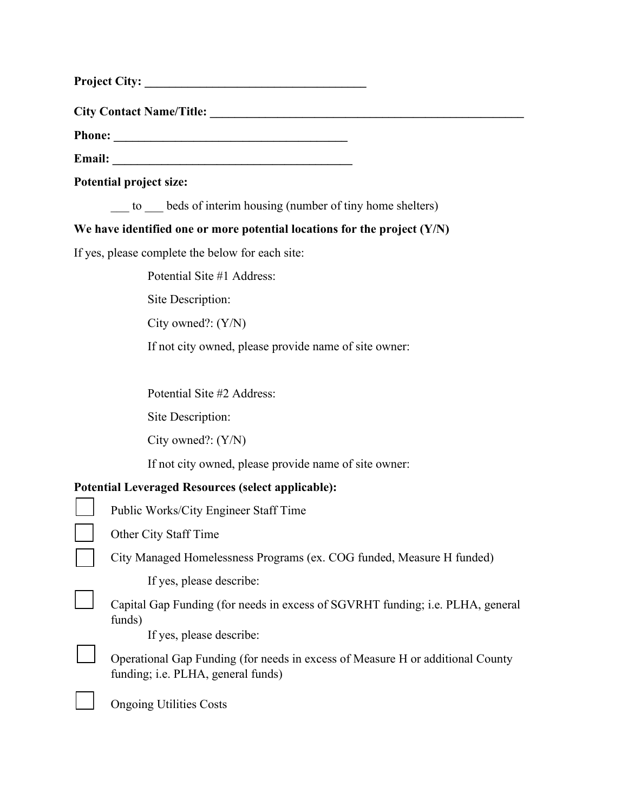**City Contact Name/Title: \_\_\_\_\_\_\_\_\_\_\_\_\_\_\_\_\_\_\_\_\_\_\_\_\_\_\_\_\_\_\_\_\_\_\_\_\_\_\_\_\_\_\_\_\_\_\_\_\_\_\_** 

**Phone: \_\_\_\_\_\_\_\_\_\_\_\_\_\_\_\_\_\_\_\_\_\_\_\_\_\_\_\_\_\_\_\_\_\_\_\_\_\_** 

**Email:**  $\qquad \qquad \qquad$ 

**Potential project size:** 

to beds of interim housing (number of tiny home shelters)

# **We have identified one or more potential locations for the project (Y/N)**

If yes, please complete the below for each site:

Potential Site #1 Address:

Site Description:

City owned?: (Y/N)

If not city owned, please provide name of site owner:

Potential Site #2 Address:

Site Description:

City owned?: (Y/N)

If not city owned, please provide name of site owner:

# **Potential Leveraged Resources (select applicable):**

Other City Staff Time

City Managed Homelessness Programs (ex. COG funded, Measure H funded)

If yes, please describe:

Capital Gap Funding (for needs in excess of SGVRHT funding; i.e. PLHA, general funds)

If yes, please describe:

Operational Gap Funding (for needs in excess of Measure H or additional County funding; i.e. PLHA, general funds)